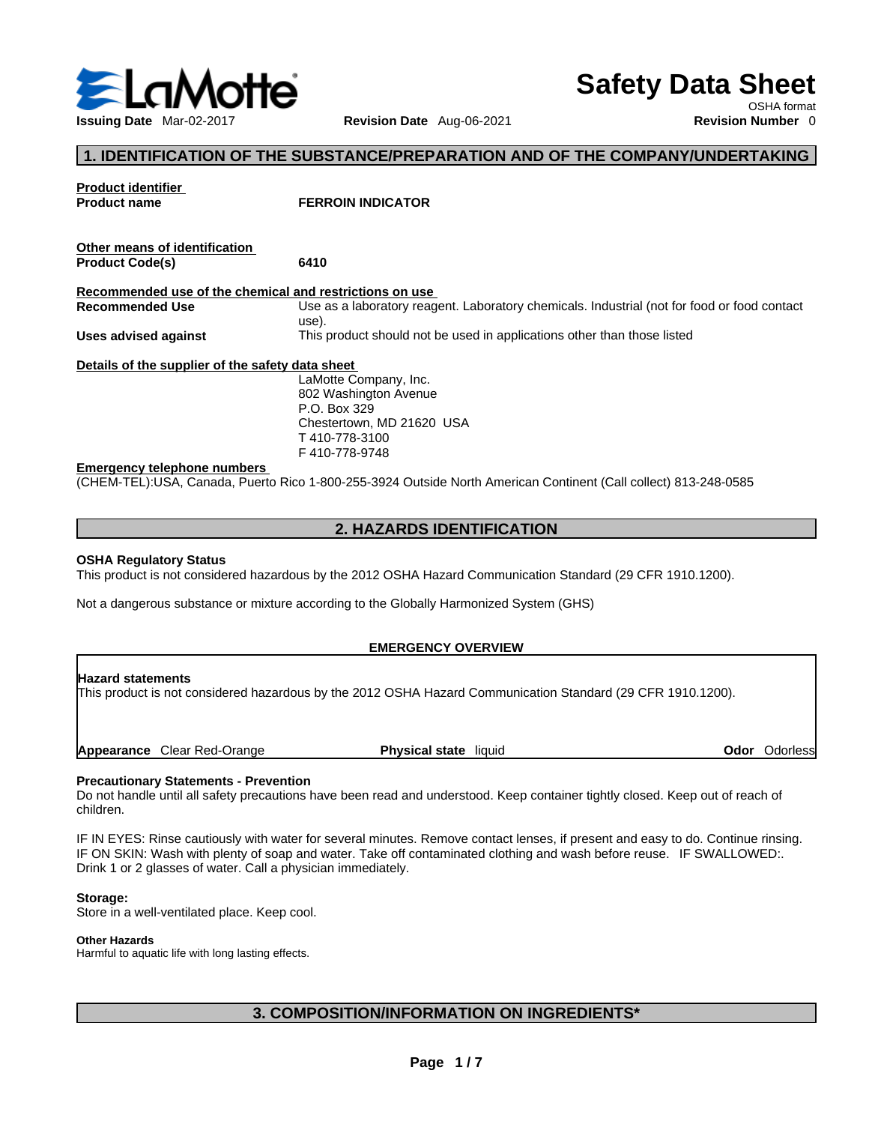

# **Safety Data Sheet**

OSHA format

# **1. IDENTIFICATION OF THE SUBSTANCE/PREPARATION AND OF THE COMPANY/UNDERTAKING**

| <b>Product identifier</b>                               |                                                                                                                 |
|---------------------------------------------------------|-----------------------------------------------------------------------------------------------------------------|
| <b>Product name</b>                                     | <b>FERROIN INDICATOR</b>                                                                                        |
|                                                         |                                                                                                                 |
| Other means of identification                           |                                                                                                                 |
| <b>Product Code(s)</b>                                  | 6410                                                                                                            |
| Recommended use of the chemical and restrictions on use |                                                                                                                 |
| <b>Recommended Use</b>                                  | Use as a laboratory reagent. Laboratory chemicals. Industrial (not for food or food contact<br>use).            |
| Uses advised against                                    | This product should not be used in applications other than those listed                                         |
| Details of the supplier of the safety data sheet        |                                                                                                                 |
|                                                         | LaMotte Company, Inc.                                                                                           |
|                                                         | 802 Washington Avenue                                                                                           |
|                                                         | P.O. Box 329                                                                                                    |
|                                                         | Chestertown, MD 21620 USA                                                                                       |
|                                                         | T410-778-3100                                                                                                   |
|                                                         | F410-778-9748                                                                                                   |
| <b>Emergency telephone numbers</b>                      |                                                                                                                 |
|                                                         | (CHEM-TEL):USA, Canada, Puerto Rico 1-800-255-3924 Outside North American Continent (Call collect) 813-248-0585 |

# **2. HAZARDS IDENTIFICATION**

#### **OSHA Regulatory Status**

This product is not considered hazardous by the 2012 OSHA Hazard Communication Standard (29 CFR 1910.1200).

Not a dangerous substance or mixture according to the Globally Harmonized System (GHS)

#### **EMERGENCY OVERVIEW**

#### **Hazard statements**

This product is not considered hazardous by the 2012 OSHA Hazard Communication Standard (29 CFR 1910.1200).

**Appearance** Clear Red-Orange **Physical state** liquid **Odor** Odorless

#### **Precautionary Statements - Prevention**

Do not handle until all safety precautions have been read and understood. Keep container tightly closed. Keep out of reach of children.

IF IN EYES: Rinse cautiously with water for several minutes. Remove contact lenses, if present and easy to do. Continue rinsing. IF ON SKIN: Wash with plenty of soap and water. Take off contaminated clothing and wash before reuse. IF SWALLOWED:. Drink 1 or 2 glasses of water. Call a physician immediately.

#### **Storage:**

Store in a well-ventilated place. Keep cool.

#### **Other Hazards**

Harmful to aquatic life with long lasting effects.

# **3. COMPOSITION/INFORMATION ON INGREDIENTS\***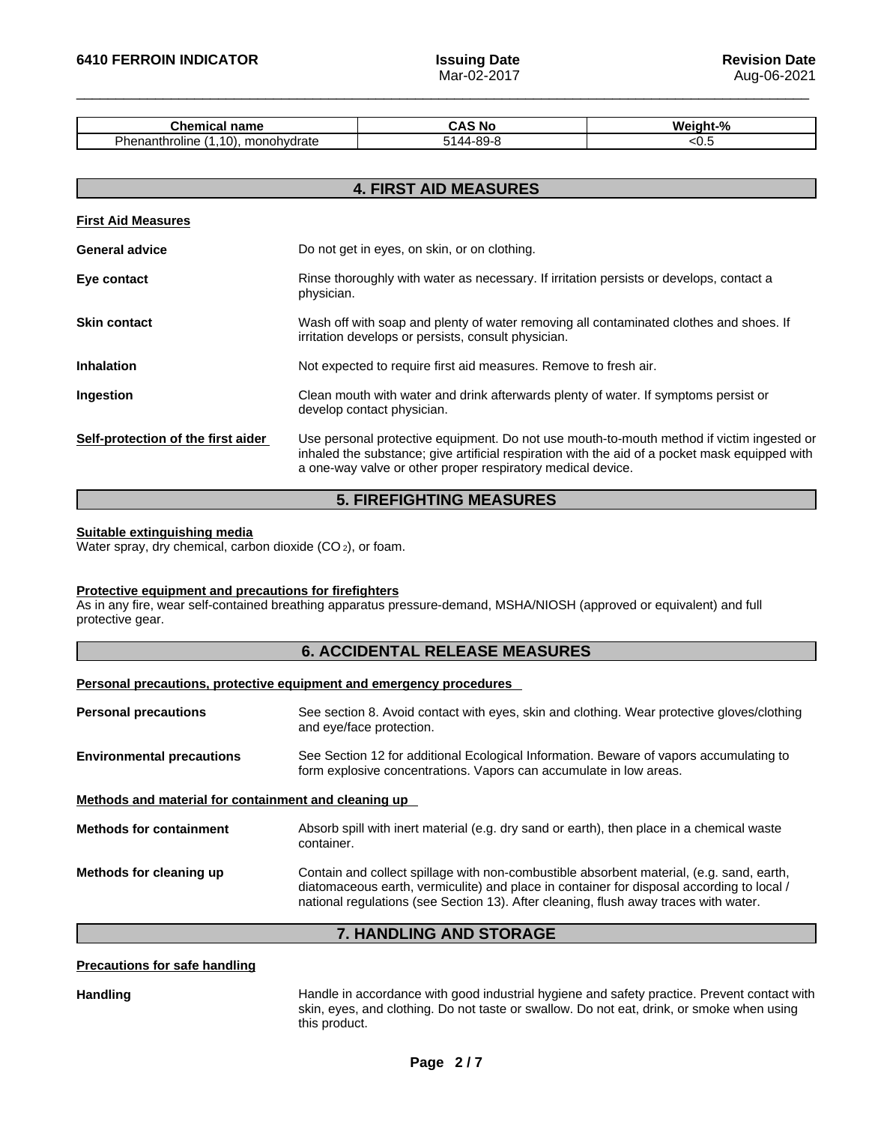| -------<br>⊶her<br>панк                                        | n<br>'NC | O.<br>W. |
|----------------------------------------------------------------|----------|----------|
| Dh<br>. .<br>monohydrate<br>10<br>roline<br>nei<br>ш<br>$\sim$ |          |          |

| <b>4. FIRST AID MEASURES</b>       |                                                                                                                                                                                                                                                            |  |
|------------------------------------|------------------------------------------------------------------------------------------------------------------------------------------------------------------------------------------------------------------------------------------------------------|--|
| <b>First Aid Measures</b>          |                                                                                                                                                                                                                                                            |  |
| <b>General advice</b>              | Do not get in eyes, on skin, or on clothing.                                                                                                                                                                                                               |  |
| Eye contact                        | Rinse thoroughly with water as necessary. If irritation persists or develops, contact a<br>physician.                                                                                                                                                      |  |
| <b>Skin contact</b>                | Wash off with soap and plenty of water removing all contaminated clothes and shoes. If<br>irritation develops or persists, consult physician.                                                                                                              |  |
| <b>Inhalation</b>                  | Not expected to require first aid measures. Remove to fresh air.                                                                                                                                                                                           |  |
| Ingestion                          | Clean mouth with water and drink afterwards plenty of water. If symptoms persist or<br>develop contact physician.                                                                                                                                          |  |
| Self-protection of the first aider | Use personal protective equipment. Do not use mouth-to-mouth method if victim ingested or<br>inhaled the substance; give artificial respiration with the aid of a pocket mask equipped with<br>a one-way valve or other proper respiratory medical device. |  |

# **5. FIREFIGHTING MEASURES**

#### **Suitable extinguishing media**

Water spray, dry chemical, carbon dioxide (CO<sub>2</sub>), or foam.

#### **Protective equipment and precautions for firefighters**

As in any fire, wear self-contained breathing apparatus pressure-demand, MSHA/NIOSH (approved or equivalent) and full protective gear.

## **6. ACCIDENTAL RELEASE MEASURES**

## **Personal precautions, protective equipment and emergency procedures**

| See section 8. Avoid contact with eyes, skin and clothing. Wear protective gloves/clothing<br>and eye/face protection.                                                                                                                                                        |
|-------------------------------------------------------------------------------------------------------------------------------------------------------------------------------------------------------------------------------------------------------------------------------|
| See Section 12 for additional Ecological Information. Beware of vapors accumulating to<br>form explosive concentrations. Vapors can accumulate in low areas.                                                                                                                  |
| Methods and material for containment and cleaning up                                                                                                                                                                                                                          |
| Absorb spill with inert material (e.g. dry sand or earth), then place in a chemical waste<br>container.                                                                                                                                                                       |
| Contain and collect spillage with non-combustible absorbent material, (e.g. sand, earth,<br>diatomaceous earth, vermiculite) and place in container for disposal according to local /<br>national regulations (see Section 13). After cleaning, flush away traces with water. |
|                                                                                                                                                                                                                                                                               |

# **7. HANDLING AND STORAGE**

#### **Precautions for safe handling**

Handling **Handle in accordance with good industrial hygiene and safety practice. Prevent contact with** skin, eyes, and clothing. Do not taste or swallow.Do not eat, drink, or smoke when using this product.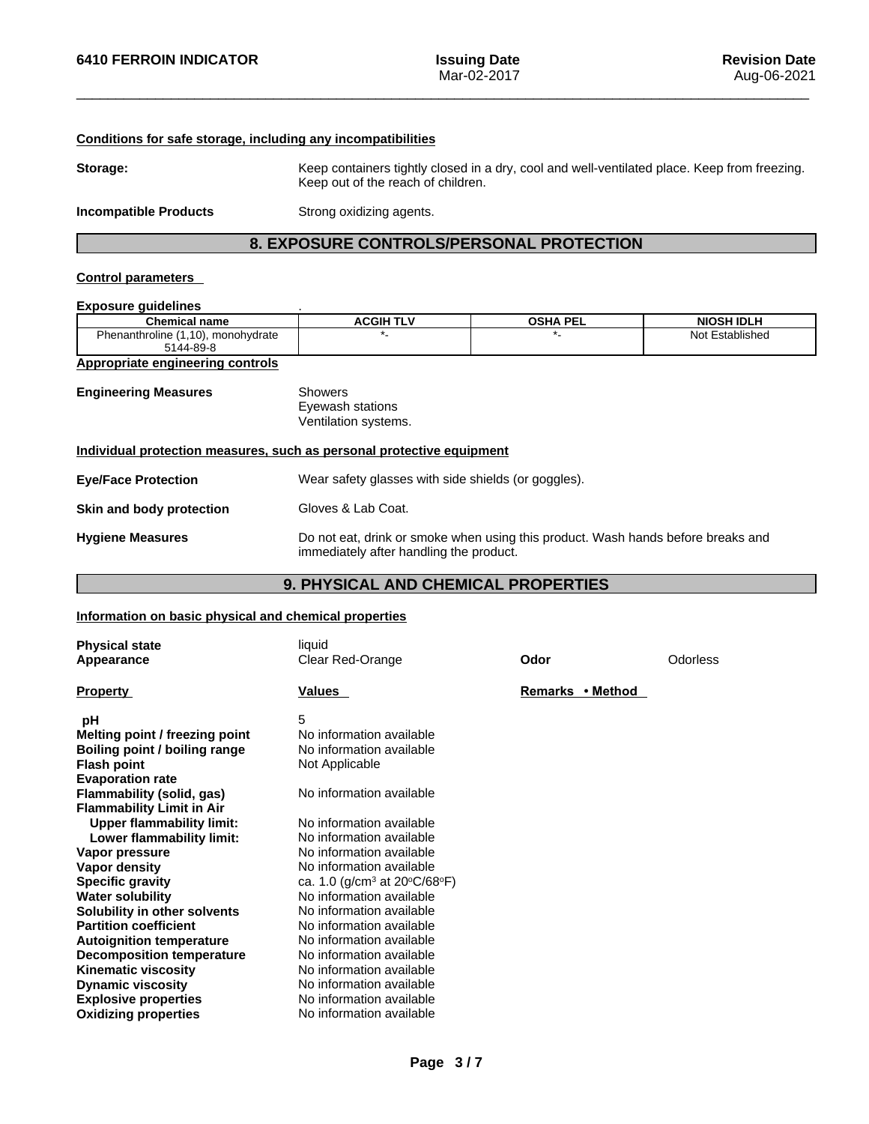## **Conditions for safe storage, including any incompatibilities**

**Storage:** Keep containers tightly closed in a dry, cool and well-ventilated place. Keep from freezing. Keep out of the reach of children.

**Incompatible Products** Strong oxidizing agents.

# **8. EXPOSURE CONTROLS/PERSONAL PROTECTION**

## **Control parameters**

# **Exposure guidelines** .

| <b>Chemical name</b>                | <b>ACGIH TLV</b> | <b>OSHA PEL</b> | <b>NIOSH IDLH</b> |
|-------------------------------------|------------------|-----------------|-------------------|
| Phenanthroline<br>.10). monohydrate |                  |                 | Not Established   |
| 5144-89-8                           |                  |                 |                   |

#### **Appropriate engineering controls**

| <b>Engineering Measures</b> | Showers              |  |
|-----------------------------|----------------------|--|
|                             | Eyewash stations     |  |
|                             | Ventilation systems. |  |

#### **Individual protection measures, such as personal protective equipment**

| <b>Eye/Face Protection</b> | Wear safety glasses with side shields (or goggles).                                                                         |
|----------------------------|-----------------------------------------------------------------------------------------------------------------------------|
| Skin and body protection   | Gloves & Lab Coat.                                                                                                          |
| <b>Hygiene Measures</b>    | Do not eat, drink or smoke when using this product. Wash hands before breaks and<br>immediately after handling the product. |

# **9. PHYSICAL AND CHEMICAL PROPERTIES**

## **Information on basic physical and chemical properties**

| <b>Physical state</b>            | liquid                                   |                  |          |
|----------------------------------|------------------------------------------|------------------|----------|
| Appearance                       | Clear Red-Orange                         | Odor             | Odorless |
| <b>Property</b>                  | Values                                   | Remarks • Method |          |
| рH                               | 5                                        |                  |          |
| Melting point / freezing point   | No information available                 |                  |          |
| Boiling point / boiling range    | No information available                 |                  |          |
| <b>Flash point</b>               | Not Applicable                           |                  |          |
| <b>Evaporation rate</b>          |                                          |                  |          |
| Flammability (solid, gas)        | No information available                 |                  |          |
| <b>Flammability Limit in Air</b> |                                          |                  |          |
| <b>Upper flammability limit:</b> | No information available                 |                  |          |
| Lower flammability limit:        | No information available                 |                  |          |
| Vapor pressure                   | No information available                 |                  |          |
| Vapor density                    | No information available                 |                  |          |
| <b>Specific gravity</b>          | ca. 1.0 (g/cm <sup>3</sup> at 20°C/68°F) |                  |          |
| <b>Water solubility</b>          | No information available                 |                  |          |
| Solubility in other solvents     | No information available                 |                  |          |
| <b>Partition coefficient</b>     | No information available                 |                  |          |
| <b>Autoignition temperature</b>  | No information available                 |                  |          |
| <b>Decomposition temperature</b> | No information available                 |                  |          |
| <b>Kinematic viscosity</b>       | No information available                 |                  |          |
| <b>Dynamic viscosity</b>         | No information available                 |                  |          |
| <b>Explosive properties</b>      | No information available                 |                  |          |
| <b>Oxidizing properties</b>      | No information available                 |                  |          |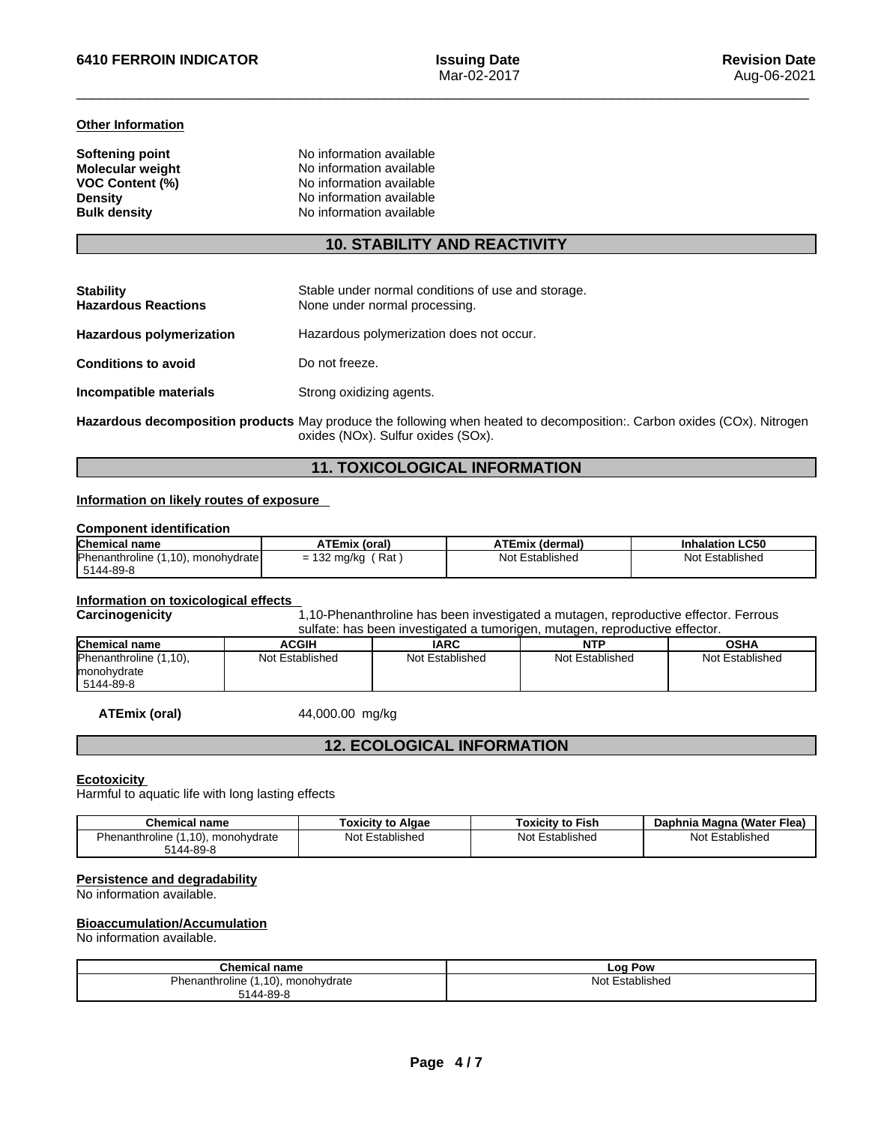#### **Other Information**

| No information available |
|--------------------------|
| No information available |
| No information available |
| No information available |
| No information available |
|                          |

# **10. STABILITY AND REACTIVITY**

| <b>Stability</b><br><b>Hazardous Reactions</b> | Stable under normal conditions of use and storage.<br>None under normal processing. |
|------------------------------------------------|-------------------------------------------------------------------------------------|
| <b>Hazardous polymerization</b>                | Hazardous polymerization does not occur.                                            |
| <b>Conditions to avoid</b>                     | Do not freeze.                                                                      |
| Incompatible materials                         | Strong oxidizing agents.                                                            |
|                                                |                                                                                     |

**Hazardous decomposition products** May produce the following when heated to decomposition:. Carbon oxides (COx). Nitrogen oxides (NOx). Sulfur oxides (SOx).

# **11. TOXICOLOGICAL INFORMATION**

# **Information on likely routes of exposure**

#### **Component identification**

| <b>Chemical name</b>               | <b>ATEmix (oral)</b>                         | <b>ATEmix (dermal)</b> | <b>Inhalation LC50</b> |
|------------------------------------|----------------------------------------------|------------------------|------------------------|
| Phenanthroline (1,10), monohydrate | Rat<br>132 mg/kg<br>$\overline{\phantom{0}}$ | Not Established        | Not Established        |
| 5144-89-8                          |                                              |                        |                        |

## **Information on toxicological effects**

Carcinogenicity **1,10-Phenanthroline has been investigated a mutagen, reproductive effector. Ferrous** 

| sulfate: has been investigated a tumorigen, mutagen, reproductive effector, |                 |                 |                 |                 |
|-----------------------------------------------------------------------------|-----------------|-----------------|-----------------|-----------------|
| <b>Chemical name</b>                                                        | <b>ACGIH</b>    | <b>IARC</b>     | NTP             | OSHA            |
| Phenanthroline (1,10),                                                      | Not Established | Not Established | Not Established | Not Established |
| monohydrate                                                                 |                 |                 |                 |                 |
| 5144-89-8                                                                   |                 |                 |                 |                 |

**ATEmix (oral)** 44,000.00 mg/kg

## **12. ECOLOGICAL INFORMATION**

#### **Ecotoxicity**

Harmful to aquatic life with long lasting effects

| Chemical<br>∣name                  | Algae<br>oxicity to | Toxicitv to Fish   | ıhnia Magna (Water Flea) |
|------------------------------------|---------------------|--------------------|--------------------------|
| 1.10<br>nanthroline<br>monohydrate | Established<br>Not  | Established<br>Not | Establisheo<br>Nl∩t      |
| 5144-89-8                          |                     |                    |                          |

#### **Persistence and degradability**

No information available.

## **Bioaccumulation/Accumulation**

No information available.

| <b>Chemical name</b>               | ∟oq∶<br>Pow            |
|------------------------------------|------------------------|
| Phenanthroline (1,10), monohydrate | : Established<br>Not I |
| 5144-89-8                          |                        |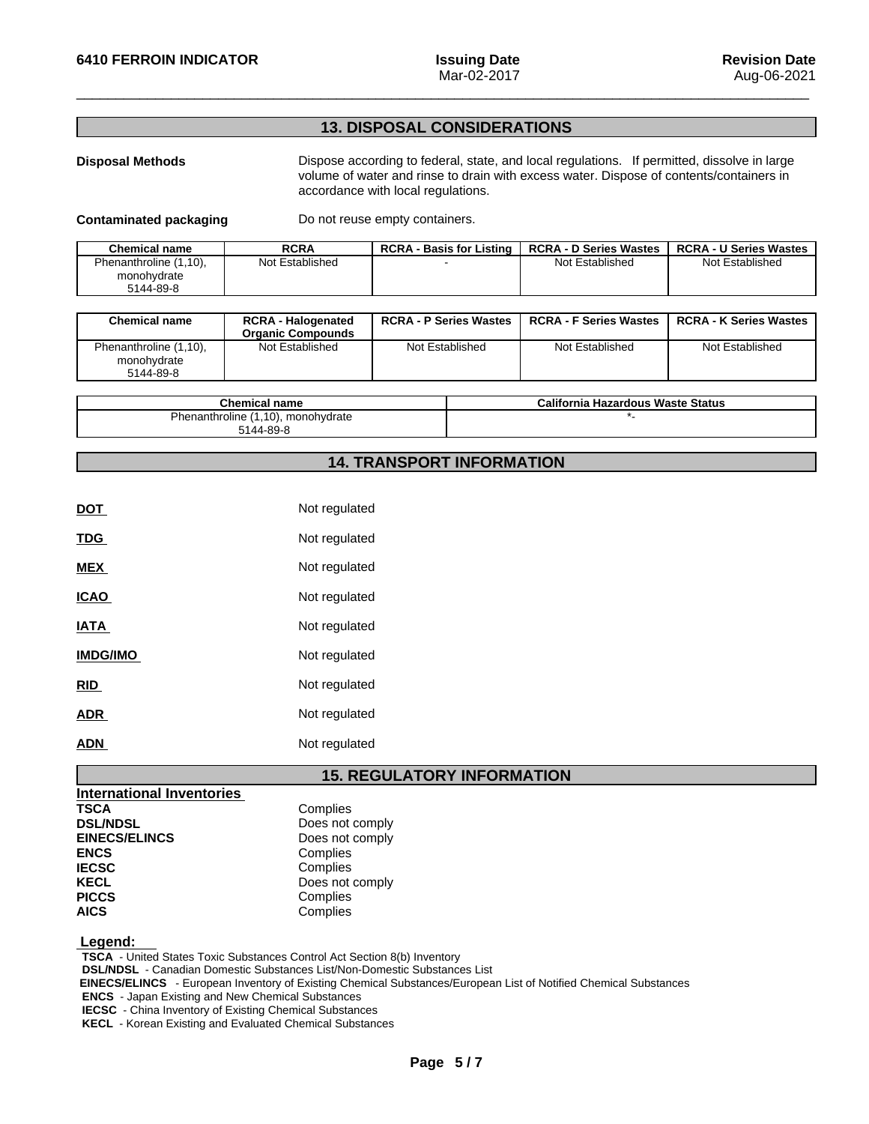# **13. DISPOSAL CONSIDERATIONS**

**Disposal Methods** Dispose according to federal, state, and local regulations. If permitted, dissolve in large volume of water and rinse to drain with excess water. Dispose of contents/containers in accordance with local regulations.

**Contaminated packaging** Do not reuse empty containers.

| <b>Chemical name</b>   | <b>RCRA</b>     | <b>RCRA - Basis for Listing</b> | <b>RCRA - D Series Wastes</b> | <b>RCRA - U Series Wastes</b> |
|------------------------|-----------------|---------------------------------|-------------------------------|-------------------------------|
| Phenanthroline (1,10), | Not Established |                                 | Not Established               | Not Established               |
| monohydrate            |                 |                                 |                               |                               |
| 5144-89-8              |                 |                                 |                               |                               |

| <b>Chemical name</b>                               | <b>RCRA - Halogenated</b><br><b>Organic Compounds</b> | <b>RCRA - P Series Wastes</b> | <b>RCRA - F Series Wastes</b> | <b>RCRA - K Series Wastes</b> |
|----------------------------------------------------|-------------------------------------------------------|-------------------------------|-------------------------------|-------------------------------|
| Phenanthroline (1,10),<br>monohydrate<br>5144-89-8 | Not Established                                       | Not Established               | Not Established               | Not Established               |

| Chemical name                      | California Hazardous Waste Status |
|------------------------------------|-----------------------------------|
| Phenanthroline (1,10), monohydrate |                                   |
| 5144-89-8                          |                                   |

# **14. TRANSPORT INFORMATION**

| <b>DOT</b>      | Not regulated |
|-----------------|---------------|
| <b>TDG</b>      | Not regulated |
| <b>MEX</b>      | Not regulated |
| <b>ICAO</b>     | Not regulated |
| <b>IATA</b>     | Not regulated |
| <b>IMDG/IMO</b> | Not regulated |
| <b>RID</b>      | Not regulated |
| <b>ADR</b>      | Not regulated |
| ADN             | Not regulated |

# **15. REGULATORY INFORMATION**

| <b>International Inventories</b> |                 |
|----------------------------------|-----------------|
| <b>TSCA</b>                      | Complies        |
| <b>DSL/NDSL</b>                  | Does not comply |
| <b>EINECS/ELINCS</b>             | Does not comply |
| <b>ENCS</b>                      | Complies        |
| <b>IECSC</b>                     | Complies        |
| <b>KECL</b>                      | Does not comply |
| <b>PICCS</b>                     | Complies        |
| <b>AICS</b>                      | Complies        |

 **Legend:** 

**TSCA** - United States Toxic Substances Control Act Section 8(b) Inventory

**DSL/NDSL** - Canadian Domestic Substances List/Non-Domestic Substances List

 **EINECS/ELINCS** - European Inventory of Existing Chemical Substances/European List of Notified Chemical Substances

**ENCS** - Japan Existing and New Chemical Substances

**IECSC** - China Inventory of Existing Chemical Substances

**KECL** - Korean Existing and Evaluated Chemical Substances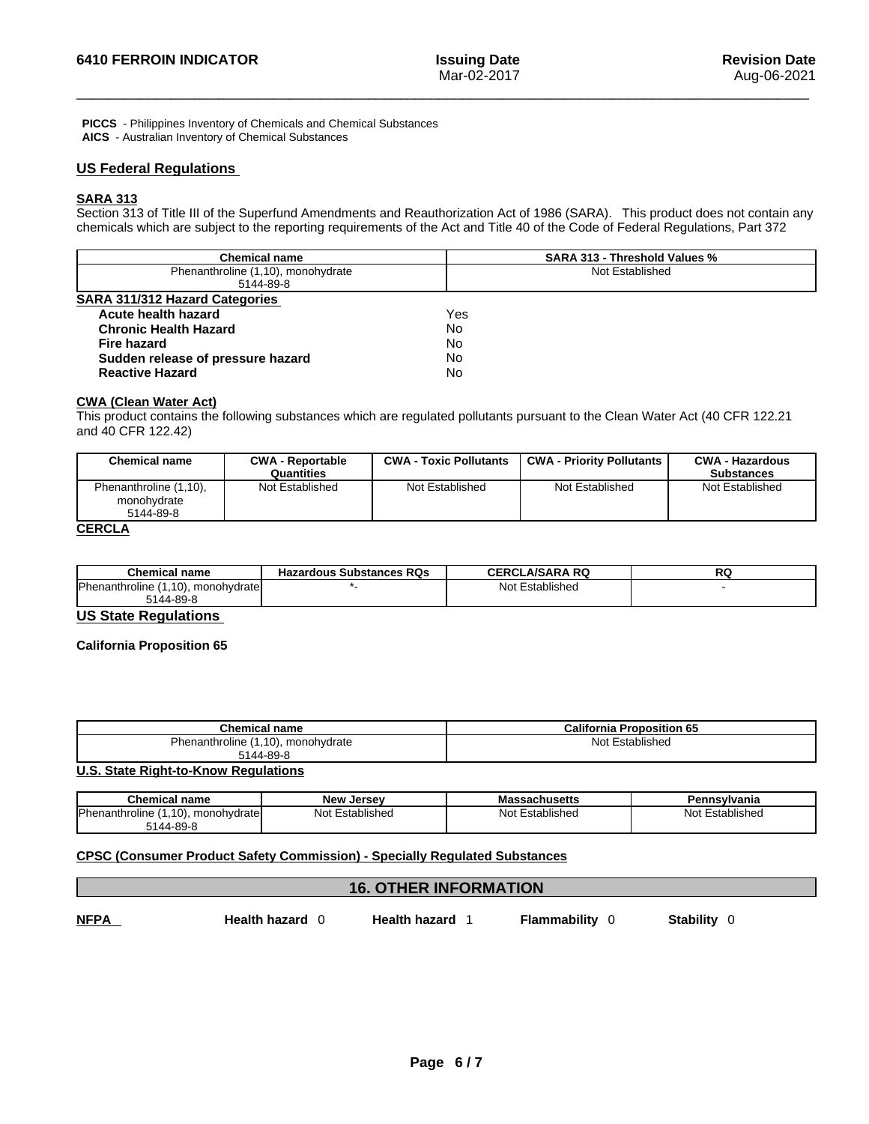**PICCS** - Philippines Inventory of Chemicals and Chemical Substances **AICS** - Australian Inventory of Chemical Substances

# **US Federal Regulations**

# **SARA 313**

Section 313 of Title III of the Superfund Amendments and Reauthorization Act of 1986 (SARA). This product does not contain any chemicals which are subject to the reporting requirements of the Act and Title 40 of the Code of Federal Regulations, Part 372

| <b>Chemical name</b>                  | <b>SARA 313 - Threshold Values %</b> |
|---------------------------------------|--------------------------------------|
| Phenanthroline (1,10), monohydrate    | Not Established                      |
| 5144-89-8                             |                                      |
| <b>SARA 311/312 Hazard Categories</b> |                                      |
| Acute health hazard                   | Yes                                  |
| <b>Chronic Health Hazard</b>          | No                                   |
| Fire hazard                           | No                                   |
| Sudden release of pressure hazard     | No                                   |
| <b>Reactive Hazard</b>                | No                                   |

## **CWA (Clean WaterAct)**

This product contains the following substances which are regulated pollutants pursuant to the Clean Water Act (40 CFR 122.21 and 40 CFR 122.42)

| <b>Chemical name</b>                               | <b>CWA - Reportable</b><br>Quantities | <b>CWA - Toxic Pollutants</b> | <b>CWA - Priority Pollutants</b> | <b>CWA - Hazardous</b><br><b>Substances</b> |
|----------------------------------------------------|---------------------------------------|-------------------------------|----------------------------------|---------------------------------------------|
| Phenanthroline (1,10),<br>monohydrate<br>5144-89-8 | Not Established                       | Not Established               | Not Established                  | Not Established                             |
| CEDCI A                                            |                                       |                               |                                  |                                             |

#### **CERCLA**

| Chemical name                             | <b>Hazardous Substances RQs</b> | <b>CERCLA/SARA RQ</b> | ש |
|-------------------------------------------|---------------------------------|-----------------------|---|
| Phenanthroline (1,<br>1.10), monohvdratel |                                 | Not Established       |   |
| 5144-89-8                                 |                                 |                       |   |

## **US State Regulations**

#### **California Proposition 65**

| <b>California Proposition 65</b> |
|----------------------------------|
| Not Established                  |
|                                  |

#### **U.S. State Right-to-Know Regulations**

| Chemical name                                 | <b>New Jersey</b> | <b>Massachusetts</b> | Pennsvlvania    |
|-----------------------------------------------|-------------------|----------------------|-----------------|
| <b>IPhenanthroline</b><br>1.10). monohvdratel | Not Established   | Established<br>Not   | Not Established |
| ັ144-89-8                                     |                   |                      |                 |

## **CPSC (Consumer Product Safety Commission) - Specially Regulated Substances**

|             | <b>16. OTHER INFORMATION</b> |                      |              |                  |
|-------------|------------------------------|----------------------|--------------|------------------|
| <b>NFPA</b> | <b>Health hazard</b>         | <b>Health hazard</b> | Flammability | <b>Stability</b> |